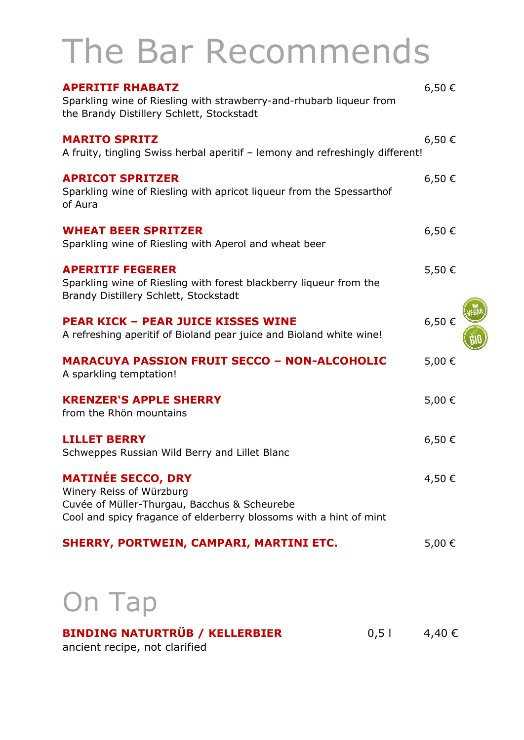# The Bar Recommends

| <b>APERITIF RHABATZ</b><br>Sparkling wine of Riesling with strawberry-and-rhubarb liqueur from<br>the Brandy Distillery Schlett, Stockstadt                                 | $6,50 \in$ |
|-----------------------------------------------------------------------------------------------------------------------------------------------------------------------------|------------|
| <b>MARITO SPRITZ</b><br>A fruity, tingling Swiss herbal aperitif - lemony and refreshingly different!                                                                       | 6,50€      |
| <b>APRICOT SPRITZER</b><br>Sparkling wine of Riesling with apricot liqueur from the Spessarthof<br>of Aura                                                                  | 6,50€      |
| <b>WHEAT BEER SPRITZER</b><br>Sparkling wine of Riesling with Aperol and wheat beer                                                                                         | $6,50 \in$ |
| <b>APERITIF FEGERER</b><br>Sparkling wine of Riesling with forest blackberry liqueur from the<br>Brandy Distillery Schlett, Stockstadt                                      | 5,50€      |
| <b>PEAR KICK - PEAR JUICE KISSES WINE</b><br>A refreshing aperitif of Bioland pear juice and Bioland white wine!                                                            | 6,50€      |
| <b>MARACUYA PASSION FRUIT SECCO - NON-ALCOHOLIC</b><br>A sparkling temptation!                                                                                              | 5,00€      |
| <b>KRENZER'S APPLE SHERRY</b><br>from the Rhön mountains                                                                                                                    | 5,00 €     |
| <b>LILLET BERRY</b><br>Schweppes Russian Wild Berry and Lillet Blanc                                                                                                        | 6,50€      |
| <b>MATINEE SECCO, DRY</b><br>Winery Reiss of Würzburg<br>Cuvée of Müller-Thurgau, Bacchus & Scheurebe<br>Cool and spicy fragance of elderberry blossoms with a hint of mint | 4,50€      |
| SHERRY, PORTWEIN, CAMPARI, MARTINI ETC.                                                                                                                                     | 5,00 €     |
| On Tap                                                                                                                                                                      |            |

#### **BINDING NATURTRÜB / KELLERBIER** 0,5 l 4,40 €

ancient recipe, not clarified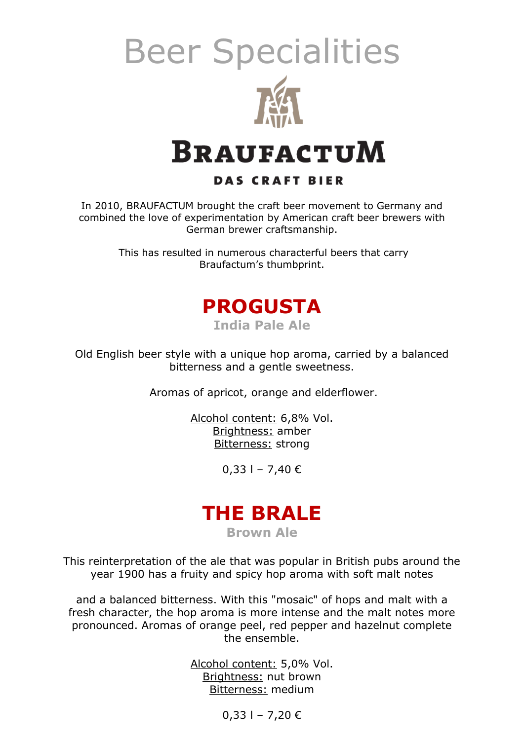

#### **BRAUFACTUM**

#### **DAS CRAFT BIER**

In 2010, BRAUFACTUM brought the craft beer movement to Germany and combined the love of experimentation by American craft beer brewers with German brewer craftsmanship.

> This has resulted in numerous characterful beers that carry Braufactum's thumbprint.



Old English beer style with a unique hop aroma, carried by a balanced bitterness and a gentle sweetness.

Aromas of apricot, orange and elderflower.

Alcohol content: 6,8% Vol. Brightness: amber Bitterness: strong

 $0,33$  l − 7,40 €

#### **THE BRALE**

**Brown Ale**

This reinterpretation of the ale that was popular in British pubs around the year 1900 has a fruity and spicy hop aroma with soft malt notes

and a balanced bitterness. With this "mosaic" of hops and malt with a fresh character, the hop aroma is more intense and the malt notes more pronounced. Aromas of orange peel, red pepper and hazelnut complete the ensemble.

> Alcohol content: 5,0% Vol. Brightness: nut brown Bitterness: medium

> > $0,33$  l − 7,20 €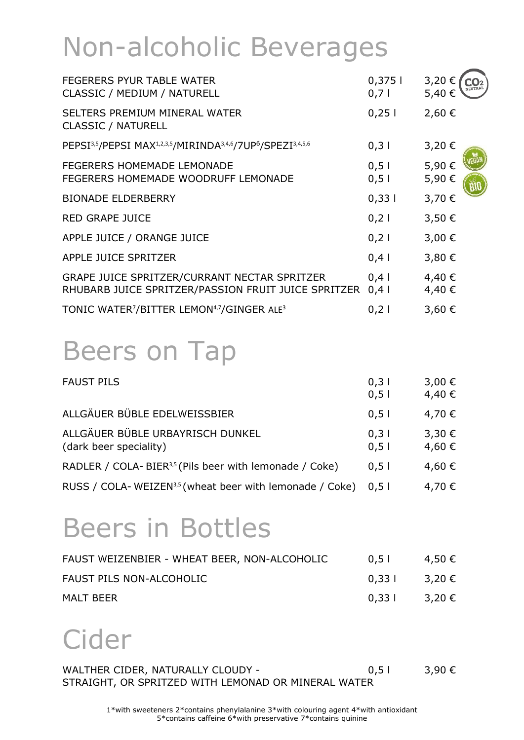## Non-alcoholic Beverages

| <b>FEGERERS PYUR TABLE WATER</b><br>CLASSIC / MEDIUM / NATURELL                                                          | 0,3751<br>0,71   | 3,20€<br>5,40€ |
|--------------------------------------------------------------------------------------------------------------------------|------------------|----------------|
| SELTERS PREMIUM MINERAL WATER<br><b>CLASSIC / NATURELL</b>                                                               | 0,251            | 2,60€          |
| PEPSI <sup>3,5</sup> /PEPSI MAX <sup>1,2,3,5</sup> /MIRINDA <sup>3,4,6</sup> /7UP <sup>6</sup> /SPEZI <sup>3,4,5,6</sup> | 0,31             | 3,20€          |
| <b>FEGERERS HOMEMADE LEMONADE</b><br>FEGERERS HOMEMADE WOODRUFF LEMONADE                                                 | 0, 51<br>0,51    | 5,90€<br>5,90€ |
| <b>BIONADE ELDERBERRY</b>                                                                                                | 0,331            | 3,70 €         |
| <b>RED GRAPE JUICE</b>                                                                                                   | $0,2$            | 3,50€          |
| APPLE JUICE / ORANGE JUICE                                                                                               | $0,2$            | 3,00 €         |
| APPLE JUICE SPRITZER                                                                                                     | $0,4$            | 3,80€          |
| GRAPE JUICE SPRITZER/CURRANT NECTAR SPRITZER<br>RHUBARB JUICE SPRITZER/PASSION FRUIT JUICE SPRITZER                      | $0,4$  <br>$0,4$ | 4,40€<br>4,40€ |
| TONIC WATER7/BITTER LEMON <sup>4,7</sup> /GINGER ALE <sup>3</sup>                                                        | 0,21             | 3,60€          |

### Beers on Tap

| <b>FAUST PILS</b>                                                   | 0,31<br>0,51 | 3,00€<br>4,40 € |
|---------------------------------------------------------------------|--------------|-----------------|
| ALLGÄUER BÜBLE EDELWEISSBIER                                        | 0,51         | 4,70 €          |
| ALLGÄUER BÜBLE URBAYRISCH DUNKEL<br>(dark beer speciality)          | 0,31<br>0,51 | 3,30€<br>4,60 € |
| RADLER / COLA-BIER <sup>3,5</sup> (Pils beer with lemonade / Coke)  | 0.51         | 4,60 €          |
| RUSS / COLA-WEIZEN <sup>3,5</sup> (wheat beer with lemonade / Coke) | 0.51         | 4,70 €          |

### Beers in Bottles

| FAUST WEIZENBIER - WHEAT BEER, NON-ALCOHOLIC | 0,51            | 4,50 € |
|----------------------------------------------|-----------------|--------|
| FAUST PILS NON-ALCOHOLIC                     | $0,33$   3,20 € |        |
| <b>MALT BEER</b>                             | 0,33 l 3,20 €   |        |

### Cider

WALTHER CIDER, NATURALLY CLOUDY -  $0,51$  3,90 € STRAIGHT, OR SPRITZED WITH LEMONAD OR MINERAL WATER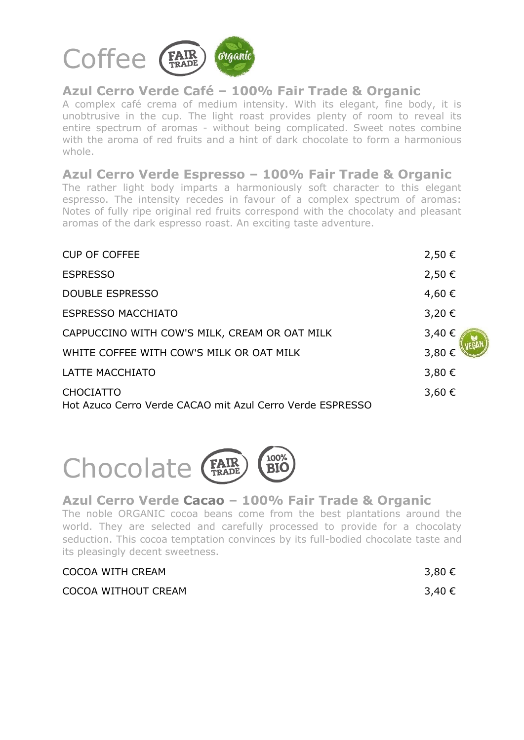

#### **Azul Cerro Verde Café – 100% Fair Trade & Organic**

A complex café crema of medium intensity. With its elegant, fine body, it is unobtrusive in the cup. The light roast provides plenty of room to reveal its entire spectrum of aromas - without being complicated. Sweet notes combine with the aroma of red fruits and a hint of dark chocolate to form a harmonious whole.

**Azul Cerro Verde Espresso – 100% Fair Trade & Organic** The rather light body imparts a harmoniously soft character to this elegant espresso. The intensity recedes in favour of a complex spectrum of aromas: Notes of fully ripe original red fruits correspond with the chocolaty and pleasant aromas of the dark espresso roast. An exciting taste adventure.

| <b>CUP OF COFFEE</b>                                                          | 2,50€  |
|-------------------------------------------------------------------------------|--------|
| <b>ESPRESSO</b>                                                               | 2,50€  |
| <b>DOUBLE ESPRESSO</b>                                                        | 4,60€  |
| <b>ESPRESSO MACCHIATO</b>                                                     | 3,20€  |
| CAPPUCCINO WITH COW'S MILK, CREAM OR OAT MILK                                 | 3,40 € |
| WHITE COFFEE WITH COW'S MILK OR OAT MILK                                      | 3,80€  |
| <b>LATTE MACCHIATO</b>                                                        | 3,80€  |
| <b>CHOCIATTO</b><br>Hot Azuco Cerro Verde CACAO mit Azul Cerro Verde ESPRESSO | 3,60€  |



#### **Azul Cerro Verde Cacao – 100% Fair Trade & Organic**

The noble ORGANIC cocoa beans come from the best plantations around the world. They are selected and carefully processed to provide for a chocolaty seduction. This cocoa temptation convinces by its full-bodied chocolate taste and its pleasingly decent sweetness.

| COCOA WITH CREAM    | 3,80 € |
|---------------------|--------|
| COCOA WITHOUT CREAM | 3,40 € |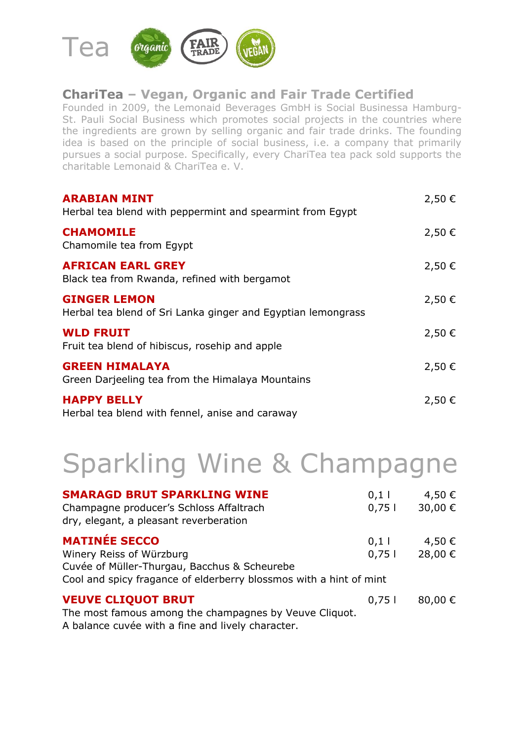

#### **ChariTea – Vegan, Organic and Fair Trade Certified**

Founded in 2009, the Lemonaid Beverages GmbH is [Social Businessa](https://de.wikipedia.org/wiki/Social_Business) [Hamburg-](https://de.wikipedia.org/wiki/Hamburg-St._Pauli)[St. Pauli](https://de.wikipedia.org/wiki/Hamburg-St._Pauli) Social Business which promotes social projects in the countries where the ingredients are grown by selling [organic](https://de.wikipedia.org/wiki/Bio-Lebensmittel) and [fair](https://de.wikipedia.org/wiki/Fairer_Handel) trade drinks. The founding idea is based on the principle of [social business,](https://de.wikipedia.org/wiki/Social_Business) i.e. a company that primarily pursues a social purpose. Specifically, every ChariTea tea pack sold supports the charitable Lemonaid & ChariTea e. V.

| <b>ARABIAN MINT</b><br>Herbal tea blend with peppermint and spearmint from Egypt    | 2,50€ |
|-------------------------------------------------------------------------------------|-------|
| <b>CHAMOMILE</b><br>Chamomile tea from Egypt                                        | 2,50€ |
| <b>AFRICAN EARL GREY</b><br>Black tea from Rwanda, refined with bergamot            | 2,50€ |
| <b>GINGER LEMON</b><br>Herbal tea blend of Sri Lanka ginger and Egyptian lemongrass | 2,50€ |
| <b>WLD FRUIT</b><br>Fruit tea blend of hibiscus, rosehip and apple                  | 2,50€ |
| <b>GREEN HIMALAYA</b><br>Green Darjeeling tea from the Himalaya Mountains           | 2,50€ |
| <b>HAPPY BELLY</b><br>Herbal tea blend with fennel, anise and caraway               | 2,50€ |

### Sparkling Wine & Champagne

| <b>SMARAGD BRUT SPARKLING WINE</b><br>Champagne producer's Schloss Affaltrach<br>dry, elegant, a pleasant reverberation | 0,1<br>0,751 | 4,50 €<br>30,00 € |
|-------------------------------------------------------------------------------------------------------------------------|--------------|-------------------|
| <b>MATINÉE SECCO</b>                                                                                                    | 0,1          | 4,50 €            |
| Winery Reiss of Würzburg                                                                                                | 0,751        | 28,00 €           |
| Cuvée of Müller-Thurgau, Bacchus & Scheurebe                                                                            |              |                   |
| Cool and spicy fragance of elderberry blossmos with a hint of mint                                                      |              |                   |
| <b>VEUVE CLIQUOT BRUT</b>                                                                                               | 0,751        | 80,00 €           |
| The most famous among the champagnes by Veuve Cliquot.                                                                  |              |                   |
| A balance cuvée with a fine and lively character.                                                                       |              |                   |